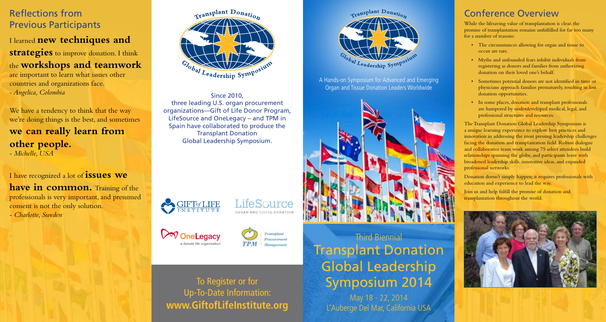# Transplant Donation Global Leadership Symposium 2014 Third Biennial

May 18 - 22, 2014 L'Auberge Del Mar, California USA

### Conference Overview

While the lifesaving value of transplantation is clear, the promise of transplantation remains unfulfilled for far too many for a number of reasons:

- The circumstances allowing for organ and tissue to occur are rare.
- • Myths and unfounded fears inhibit individuals from registering as donors and families from authorizing donation on their loved one's behalf.
- • Sometimes potential donors are not identified in time or physicians approach families prematurely, resulting in lost donation opportunities.
- In some places, donation and transplant professionals are hampered by underdeveloped medical, legal, and professional structures and resources.

**strategies** to improve donation. I think the **workshops and teamwork** are important to learn what issues other

We have a tendency to think that the way we're doing things is the best, and sometimes

**have in common.** Training of the professionals is very important, and presumed consent is not the only solution.

The Transplant Donation Global Leadership Symposium is a unique learning experience to explore best practices and innovation in addressing the most pressing leadership challenges facing the donation and transplantation field. Robust dialogue and collaborative team work among 75 select attendees build relationships spanning the globe, and participants leave with broadened leadership skills, innovative ideas, and expanded professional networks.

Donation doesn't simply happen; it requires professionals with education and experience to lead the way.

Join us and help fulfill the promise of donation and transplantation throughout the world.



### Reflections from Previous Participants

I learned **new techniques and** 

countries and organizations face. *- Angelica, Colombia*

### **we can really learn from other people.** *- Michelle, USA*

I have recognized a lot of **issues we** 

*- Charlotte, Sweden*



To Register or for Up-To-Date Information: **www.GiftofLifeInstitute.org**



Since 2010, three leading U.S. organ procurement organizations—Gift of Life Donor Program, LifeSource and OneLegacy – and TPM in Spain have collaborated to produce the Transplant Donation Global Leadership Symposium.



LifeSource ORGAN AND TISSUE DONATION





A Hands-on Symposium for Advanced and Emerging Organ and Tissue Donation Leaders Worldwide